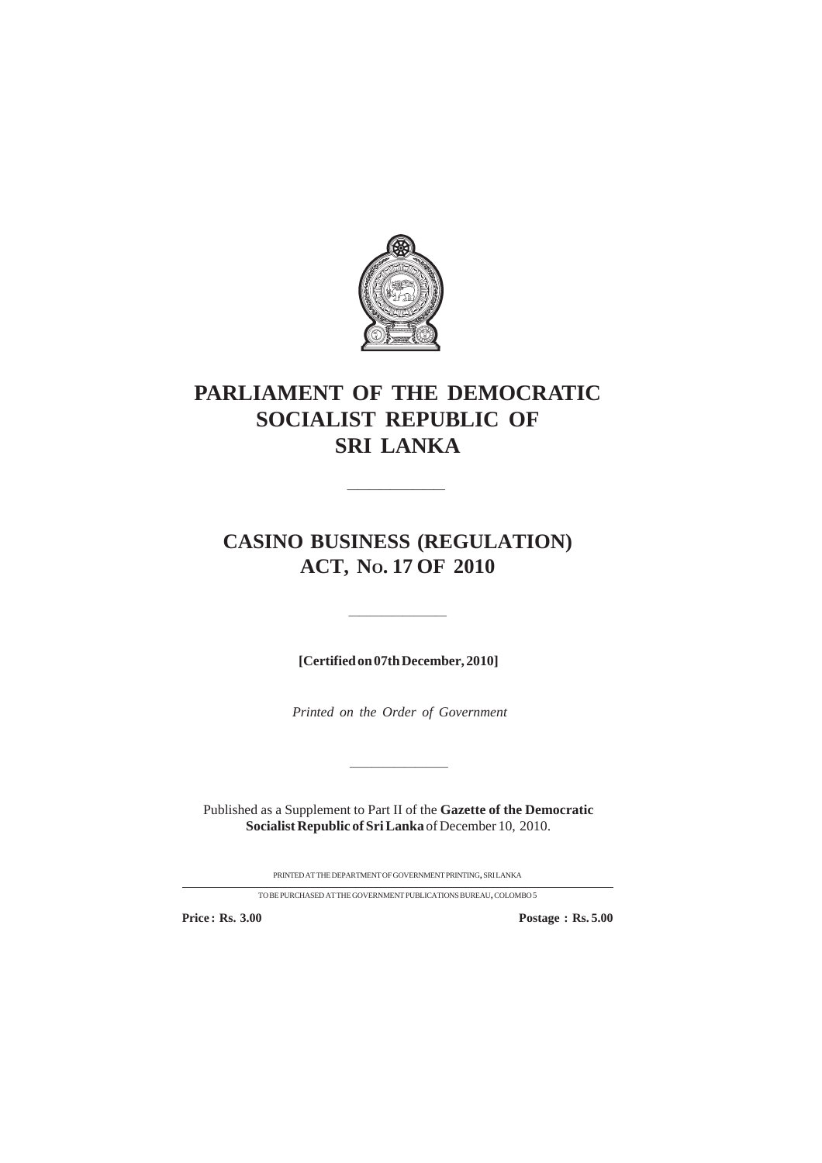

## **PARLIAMENT OF THE DEMOCRATIC SOCIALIST REPUBLIC OF SRI LANKA**

## **CASINO BUSINESS (REGULATION) ACT, NO. 17 OF 2010**

————————————————————

**[Certified on 07th December, 2010]**

—————————

*Printed on the Order of Government*

Published as a Supplement to Part II of the **Gazette of the Democratic Socialist Republic of Sri Lanka** of December 10, 2010.

—————————

PRINTEDATTHEDEPARTMENTOFGOVERNMENTPRINTING, SRILANKA

TO BE PURCHASED AT THE GOVERNMENT PUBLICATIONS BUREAU, COLOMBO  $5\,$ 

**Price : Rs. 3.00 Postage : Rs. 5.00**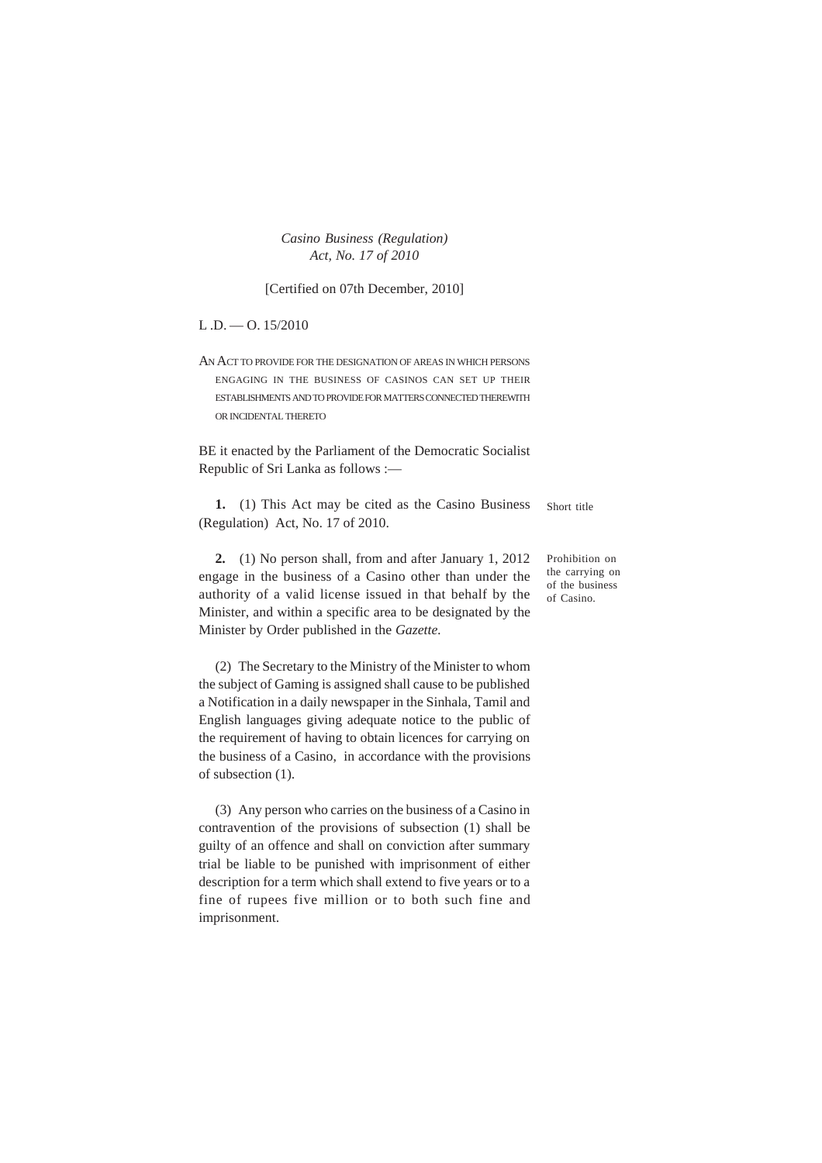*Casino Business (Regulation) Act, No. 17 of 2010*

[Certified on 07th December, 2010]

 $L.D. -O. 15/2010$ 

AN ACT TO PROVIDE FOR THE DESIGNATION OF AREAS IN WHICH PERSONS ENGAGING IN THE BUSINESS OF CASINOS CAN SET UP THEIR ESTABLISHMENTS AND TO PROVIDE FOR MATTERS CONNECTED THEREWITH OR INCIDENTAL THERETO

BE it enacted by the Parliament of the Democratic Socialist Republic of Sri Lanka as follows :—

**1.** (1) This Act may be cited as the Casino Business (Regulation) Act, No. 17 of 2010. Short title

**2.** (1) No person shall, from and after January 1, 2012 engage in the business of a Casino other than under the authority of a valid license issued in that behalf by the Minister, and within a specific area to be designated by the Minister by Order published in the *Gazette.*

(2) The Secretary to the Ministry of the Minister to whom the subject of Gaming is assigned shall cause to be published a Notification in a daily newspaper in the Sinhala, Tamil and English languages giving adequate notice to the public of the requirement of having to obtain licences for carrying on the business of a Casino, in accordance with the provisions of subsection (1).

(3) Any person who carries on the business of a Casino in contravention of the provisions of subsection (1) shall be guilty of an offence and shall on conviction after summary trial be liable to be punished with imprisonment of either description for a term which shall extend to five years or to a fine of rupees five million or to both such fine and imprisonment.

Prohibition on the carrying on of the business of Casino.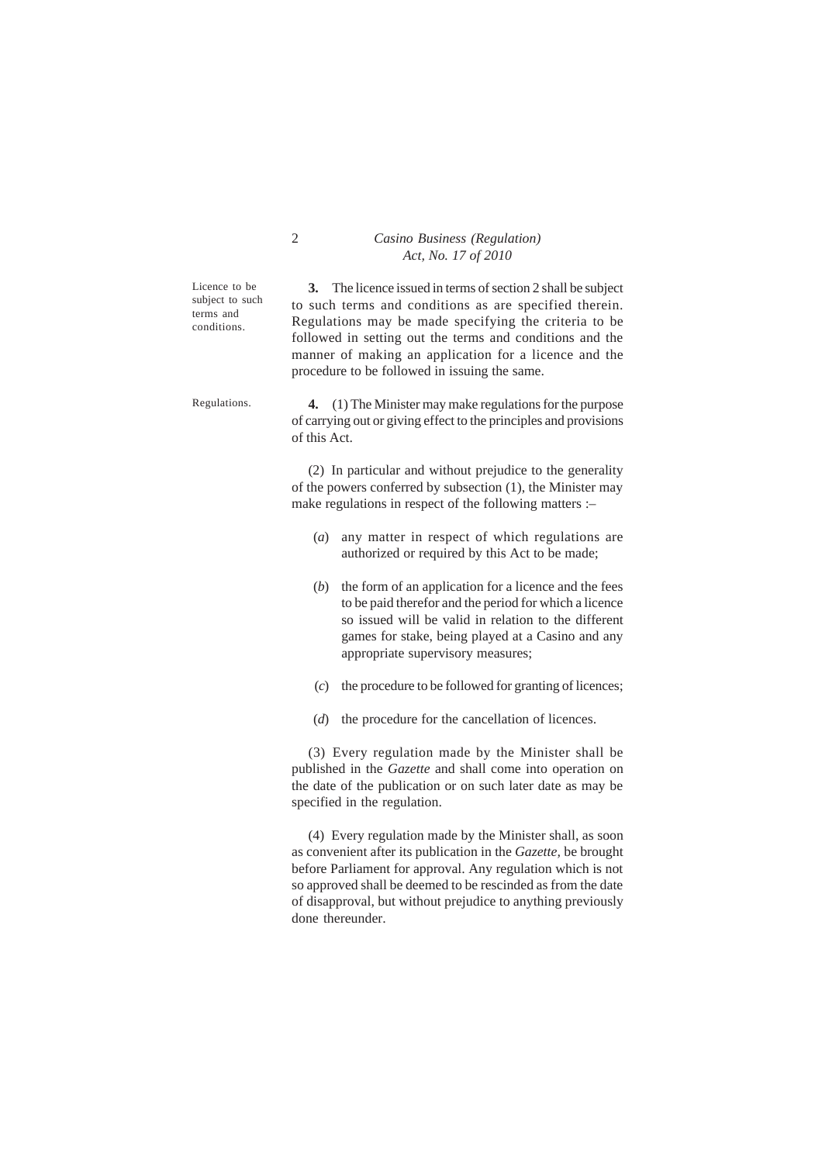## 2 *Casino Business (Regulation) Act, No. 17 of 2010*

Licence to be subject to such terms and conditions.

**3.** The licence issued in terms of section 2 shall be subject to such terms and conditions as are specified therein. Regulations may be made specifying the criteria to be followed in setting out the terms and conditions and the manner of making an application for a licence and the procedure to be followed in issuing the same.

Regulations.

**4.** (1) The Minister may make regulations for the purpose of carrying out or giving effect to the principles and provisions of this Act.

(2) In particular and without prejudice to the generality of the powers conferred by subsection (1), the Minister may make regulations in respect of the following matters :–

- (*a*) any matter in respect of which regulations are authorized or required by this Act to be made;
- (*b*) the form of an application for a licence and the fees to be paid therefor and the period for which a licence so issued will be valid in relation to the different games for stake, being played at a Casino and any appropriate supervisory measures;
- (*c*) the procedure to be followed for granting of licences;
- (*d*) the procedure for the cancellation of licences.

(3) Every regulation made by the Minister shall be published in the *Gazette* and shall come into operation on the date of the publication or on such later date as may be specified in the regulation.

(4) Every regulation made by the Minister shall, as soon as convenient after its publication in the *Gazette,* be brought before Parliament for approval. Any regulation which is not so approved shall be deemed to be rescinded as from the date of disapproval, but without prejudice to anything previously done thereunder.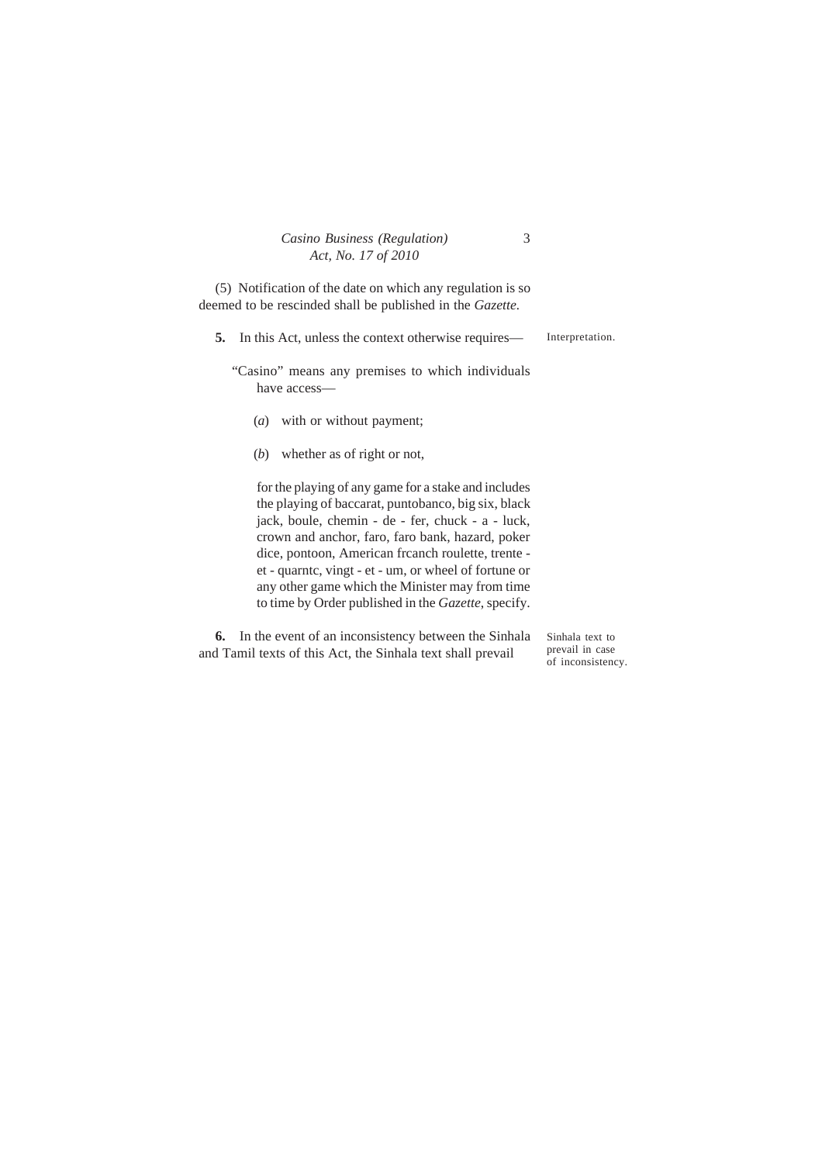|  | Casino Business (Regulation) |
|--|------------------------------|
|  | Act, No. 17 of 2010          |

(5) Notification of the date on which any regulation is so deemed to be rescinded shall be published in the *Gazette.*

Interpretation. **5.** In this Act, unless the context otherwise requires—

"Casino" means any premises to which individuals have access—

- (*a*) with or without payment;
- (*b*) whether as of right or not,

for the playing of any game for a stake and includes the playing of baccarat, puntobanco, big six, black jack, boule, chemin - de - fer, chuck - a - luck, crown and anchor, faro, faro bank, hazard, poker dice, pontoon, American frcanch roulette, trente et - quarntc, vingt - et - um, or wheel of fortune or any other game which the Minister may from time to time by Order published in the *Gazette*, specify.

**6.** In the event of an inconsistency between the Sinhala and Tamil texts of this Act, the Sinhala text shall prevail

Sinhala text to prevail in case of inconsistency.

3